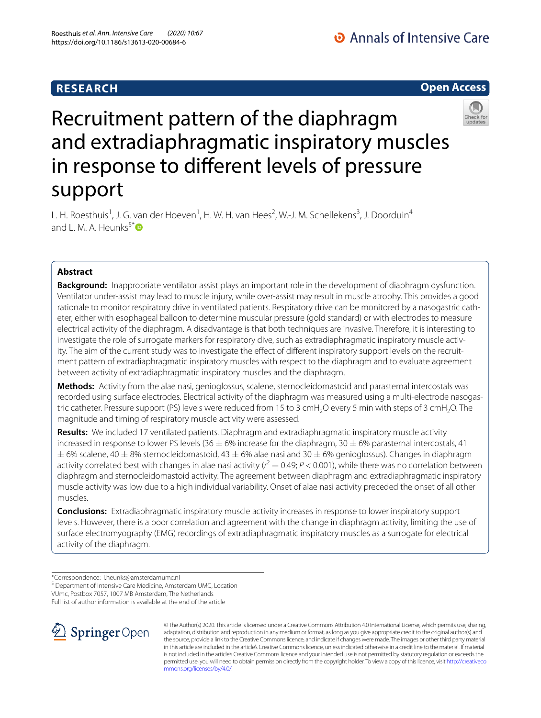# **RESEARCH**

# **Open Access**



# Recruitment pattern of the diaphragm and extradiaphragmatic inspiratory muscles in response to diferent levels of pressure support

L. H. Roesthuis<sup>1</sup>, J. G. van der Hoeven<sup>1</sup>, H. W. H. van Hees<sup>2</sup>, W.-J. M. Schellekens<sup>3</sup>, J. Doorduin<sup>4</sup>

**Abstract**

and L. M. A. Heunks<sup>5[\\*](http://orcid.org/0000-0003-3196-4665)</sup> $\mathbf{D}$ 

**Background:** Inappropriate ventilator assist plays an important role in the development of diaphragm dysfunction. Ventilator under-assist may lead to muscle injury, while over-assist may result in muscle atrophy. This provides a good rationale to monitor respiratory drive in ventilated patients. Respiratory drive can be monitored by a nasogastric catheter, either with esophageal balloon to determine muscular pressure (gold standard) or with electrodes to measure electrical activity of the diaphragm. A disadvantage is that both techniques are invasive. Therefore, it is interesting to investigate the role of surrogate markers for respiratory dive, such as extradiaphragmatic inspiratory muscle activity. The aim of the current study was to investigate the effect of different inspiratory support levels on the recruitment pattern of extradiaphragmatic inspiratory muscles with respect to the diaphragm and to evaluate agreement between activity of extradiaphragmatic inspiratory muscles and the diaphragm.

**Methods:** Activity from the alae nasi, genioglossus, scalene, sternocleidomastoid and parasternal intercostals was recorded using surface electrodes. Electrical activity of the diaphragm was measured using a multi-electrode nasogastric catheter. Pressure support (PS) levels were reduced from 15 to 3 cmH<sub>2</sub>O every 5 min with steps of 3 cmH<sub>2</sub>O. The magnitude and timing of respiratory muscle activity were assessed.

**Results:** We included 17 ventilated patients. Diaphragm and extradiaphragmatic inspiratory muscle activity increased in response to lower PS levels (36  $\pm$  6% increase for the diaphragm, 30  $\pm$  6% parasternal intercostals, 41  $\pm$  6% scalene, 40  $\pm$  8% sternocleidomastoid, 43  $\pm$  6% alae nasi and 30  $\pm$  6% genioglossus). Changes in diaphragm activity correlated best with changes in alae nasi activity ( $r^2$  = 0.49;  $P < 0.001$ ), while there was no correlation between diaphragm and sternocleidomastoid activity. The agreement between diaphragm and extradiaphragmatic inspiratory muscle activity was low due to a high individual variability. Onset of alae nasi activity preceded the onset of all other muscles.

**Conclusions:** Extradiaphragmatic inspiratory muscle activity increases in response to lower inspiratory support levels. However, there is a poor correlation and agreement with the change in diaphragm activity, limiting the use of surface electromyography (EMG) recordings of extradiaphragmatic inspiratory muscles as a surrogate for electrical activity of the diaphragm.

VUmc, Postbox 7057, 1007 MB Amsterdam, The Netherlands

Full list of author information is available at the end of the article



© The Author(s) 2020. This article is licensed under a Creative Commons Attribution 4.0 International License, which permits use, sharing, adaptation, distribution and reproduction in any medium or format, as long as you give appropriate credit to the original author(s) and the source, provide a link to the Creative Commons licence, and indicate if changes were made. The images or other third party material in this article are included in the article's Creative Commons licence, unless indicated otherwise in a credit line to the material. If material is not included in the article's Creative Commons licence and your intended use is not permitted by statutory regulation or exceeds the permitted use, you will need to obtain permission directly from the copyright holder. To view a copy of this licence, visit [http://creativeco](http://creativecommons.org/licenses/by/4.0/) [mmons.org/licenses/by/4.0/.](http://creativecommons.org/licenses/by/4.0/)

<sup>\*</sup>Correspondence: l.heunks@amsterdamumc.nl

<sup>&</sup>lt;sup>5</sup> Department of Intensive Care Medicine, Amsterdam UMC, Location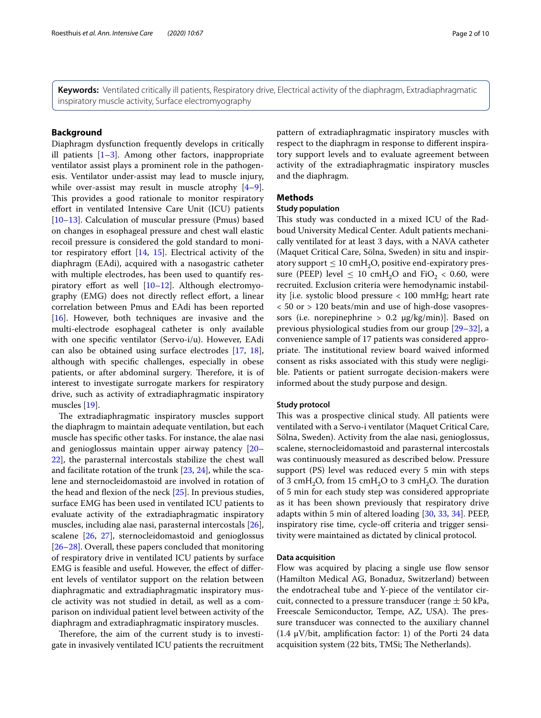**Keywords:** Ventilated critically ill patients, Respiratory drive, Electrical activity of the diaphragm, Extradiaphragmatic inspiratory muscle activity, Surface electromyography

# **Background**

Diaphragm dysfunction frequently develops in critically ill patients  $[1-3]$  $[1-3]$ . Among other factors, inappropriate ventilator assist plays a prominent role in the pathogenesis. Ventilator under-assist may lead to muscle injury, while over-assist may result in muscle atrophy [\[4](#page-8-2)[–9](#page-9-0)]. This provides a good rationale to monitor respiratory efort in ventilated Intensive Care Unit (ICU) patients [[10–](#page-9-1)[13](#page-9-2)]. Calculation of muscular pressure (Pmus) based on changes in esophageal pressure and chest wall elastic recoil pressure is considered the gold standard to monitor respiratory efort [\[14](#page-9-3), [15](#page-9-4)]. Electrical activity of the diaphragm (EAdi), acquired with a nasogastric catheter with multiple electrodes, has been used to quantify respiratory effort as well  $[10-12]$  $[10-12]$  $[10-12]$ . Although electromyography (EMG) does not directly reflect effort, a linear correlation between Pmus and EAdi has been reported [[16\]](#page-9-6). However, both techniques are invasive and the multi-electrode esophageal catheter is only available with one specifc ventilator (Servo-i/u). However, EAdi can also be obtained using surface electrodes [[17,](#page-9-7) [18](#page-9-8)], although with specifc challenges, especially in obese patients, or after abdominal surgery. Therefore, it is of interest to investigate surrogate markers for respiratory drive, such as activity of extradiaphragmatic inspiratory muscles [[19\]](#page-9-9).

The extradiaphragmatic inspiratory muscles support the diaphragm to maintain adequate ventilation, but each muscle has specifc other tasks. For instance, the alae nasi and genioglossus maintain upper airway patency [[20–](#page-9-10) [22\]](#page-9-11), the parasternal intercostals stabilize the chest wall and facilitate rotation of the trunk [[23,](#page-9-12) [24](#page-9-13)], while the scalene and sternocleidomastoid are involved in rotation of the head and fexion of the neck [\[25\]](#page-9-14). In previous studies, surface EMG has been used in ventilated ICU patients to evaluate activity of the extradiaphragmatic inspiratory muscles, including alae nasi, parasternal intercostals [\[26](#page-9-15)], scalene [\[26](#page-9-15), [27\]](#page-9-16), sternocleidomastoid and genioglossus [[26–](#page-9-15)[28](#page-9-17)]. Overall, these papers concluded that monitoring of respiratory drive in ventilated ICU patients by surface EMG is feasible and useful. However, the efect of diferent levels of ventilator support on the relation between diaphragmatic and extradiaphragmatic inspiratory muscle activity was not studied in detail, as well as a comparison on individual patient level between activity of the diaphragm and extradiaphragmatic inspiratory muscles.

Therefore, the aim of the current study is to investigate in invasively ventilated ICU patients the recruitment pattern of extradiaphragmatic inspiratory muscles with respect to the diaphragm in response to diferent inspiratory support levels and to evaluate agreement between activity of the extradiaphragmatic inspiratory muscles and the diaphragm.

# **Methods**

# **Study population**

This study was conducted in a mixed ICU of the Radboud University Medical Center. Adult patients mechanically ventilated for at least 3 days, with a NAVA catheter (Maquet Critical Care, Sölna, Sweden) in situ and inspiratory support  $\leq 10$  cmH<sub>2</sub>O, positive end-expiratory pressure (PEEP) level  $\leq 10 \text{ cmH}_2\text{O}$  and FiO<sub>2</sub> < 0.60, were recruited. Exclusion criteria were hemodynamic instability [i.e. systolic blood pressure < 100 mmHg; heart rate < 50 or > 120 beats/min and use of high-dose vasopressors (i.e. norepinephrine  $> 0.2 \mu g/kg/min$ ). Based on previous physiological studies from our group [\[29](#page-9-18)[–32\]](#page-9-19), a convenience sample of 17 patients was considered appropriate. The institutional review board waived informed consent as risks associated with this study were negligible. Patients or patient surrogate decision-makers were informed about the study purpose and design.

# **Study protocol**

This was a prospective clinical study. All patients were ventilated with a Servo-i ventilator (Maquet Critical Care, Sölna, Sweden). Activity from the alae nasi, genioglossus, scalene, sternocleidomastoid and parasternal intercostals was continuously measured as described below. Pressure support (PS) level was reduced every 5 min with steps of 3 cmH<sub>2</sub>O, from 15 cmH<sub>2</sub>O to 3 cmH<sub>2</sub>O. The duration of 5 min for each study step was considered appropriate as it has been shown previously that respiratory drive adapts within 5 min of altered loading [[30,](#page-9-20) [33](#page-9-21), [34](#page-9-22)]. PEEP, inspiratory rise time, cycle-off criteria and trigger sensitivity were maintained as dictated by clinical protocol.

#### **Data acquisition**

Flow was acquired by placing a single use flow sensor (Hamilton Medical AG, Bonaduz, Switzerland) between the endotracheal tube and Y-piece of the ventilator circuit, connected to a pressure transducer (range  $\pm$  50 kPa, Freescale Semiconductor, Tempe, AZ, USA). The pressure transducer was connected to the auxiliary channel (1.4  $\mu$ V/bit, amplification factor: 1) of the Porti 24 data acquisition system (22 bits, TMSi; The Netherlands).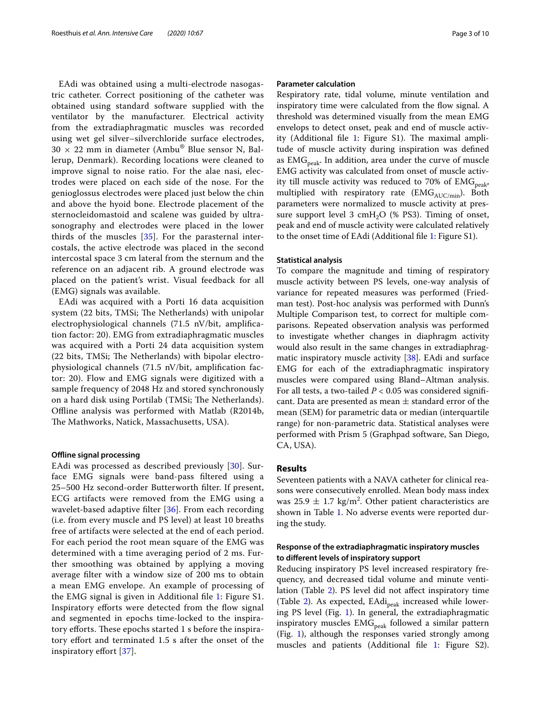EAdi was obtained using a multi-electrode nasogastric catheter. Correct positioning of the catheter was obtained using standard software supplied with the ventilator by the manufacturer. Electrical activity from the extradiaphragmatic muscles was recorded using wet gel silver–silverchloride surface electrodes,  $30 \times 22$  mm in diameter (Ambu® Blue sensor N, Ballerup, Denmark). Recording locations were cleaned to improve signal to noise ratio. For the alae nasi, electrodes were placed on each side of the nose. For the genioglossus electrodes were placed just below the chin and above the hyoid bone. Electrode placement of the sternocleidomastoid and scalene was guided by ultrasonography and electrodes were placed in the lower thirds of the muscles [\[35](#page-9-23)]. For the parasternal intercostals, the active electrode was placed in the second intercostal space 3 cm lateral from the sternum and the reference on an adjacent rib. A ground electrode was placed on the patient's wrist. Visual feedback for all (EMG) signals was available.

EAdi was acquired with a Porti 16 data acquisition system (22 bits, TMSi; The Netherlands) with unipolar electrophysiological channels (71.5 nV/bit, amplifcation factor: 20). EMG from extradiaphragmatic muscles was acquired with a Porti 24 data acquisition system  $(22 \text{ bits}, \text{TMSi}; \text{The Netherlands})$  with bipolar electrophysiological channels (71.5 nV/bit, amplifcation factor: 20). Flow and EMG signals were digitized with a sample frequency of 2048 Hz and stored synchronously on a hard disk using Portilab (TMSi; The Netherlands). Offline analysis was performed with Matlab (R2014b, The Mathworks, Natick, Massachusetts, USA).

## **Ofine signal processing**

EAdi was processed as described previously [\[30\]](#page-9-20). Surface EMG signals were band-pass fltered using a 25–500 Hz second-order Butterworth flter. If present, ECG artifacts were removed from the EMG using a wavelet-based adaptive flter [\[36\]](#page-9-24). From each recording (i.e. from every muscle and PS level) at least 10 breaths free of artifacts were selected at the end of each period. For each period the root mean square of the EMG was determined with a time averaging period of 2 ms. Further smoothing was obtained by applying a moving average flter with a window size of 200 ms to obtain a mean EMG envelope. An example of processing of the EMG signal is given in Additional fle [1:](#page-8-3) Figure S1. Inspiratory efforts were detected from the flow signal and segmented in epochs time-locked to the inspiratory efforts. These epochs started 1 s before the inspiratory efort and terminated 1.5 s after the onset of the inspiratory efort [\[37](#page-9-25)].

#### **Parameter calculation**

Respiratory rate, tidal volume, minute ventilation and inspiratory time were calculated from the flow signal. A threshold was determined visually from the mean EMG envelops to detect onset, peak and end of muscle activity (Additional file  $1$ : Figure S1). The maximal amplitude of muscle activity during inspiration was defned as  $EMG_{peak}$ . In addition, area under the curve of muscle EMG activity was calculated from onset of muscle activity till muscle activity was reduced to 70% of  $EMG<sub>peak</sub>$ , multiplied with respiratory rate (EMG $_{AUC/min}$ ). Both parameters were normalized to muscle activity at pressure support level 3 cmH<sub>2</sub>O (% PS3). Timing of onset, peak and end of muscle activity were calculated relatively to the onset time of EAdi (Additional fle [1](#page-8-3): Figure S1).

#### **Statistical analysis**

To compare the magnitude and timing of respiratory muscle activity between PS levels, one-way analysis of variance for repeated measures was performed (Friedman test). Post-hoc analysis was performed with Dunn's Multiple Comparison test, to correct for multiple comparisons. Repeated observation analysis was performed to investigate whether changes in diaphragm activity would also result in the same changes in extradiaphrag-matic inspiratory muscle activity [\[38\]](#page-9-26). EAdi and surface EMG for each of the extradiaphragmatic inspiratory muscles were compared using Bland–Altman analysis. For all tests, a two-tailed  $P < 0.05$  was considered significant. Data are presented as mean  $\pm$  standard error of the mean (SEM) for parametric data or median (interquartile range) for non-parametric data. Statistical analyses were performed with Prism 5 (Graphpad software, San Diego, CA, USA).

# **Results**

Seventeen patients with a NAVA catheter for clinical reasons were consecutively enrolled. Mean body mass index was  $25.9 \pm 1.7$  kg/m<sup>2</sup>. Other patient characteristics are shown in Table [1.](#page-3-0) No adverse events were reported during the study.

# **Response of the extradiaphragmatic inspiratory muscles to diferent levels of inspiratory support**

Reducing inspiratory PS level increased respiratory frequency, and decreased tidal volume and minute ventilation (Table [2\)](#page-4-0). PS level did not afect inspiratory time (Table [2](#page-4-0)). As expected, EAdi<sub>peak</sub> increased while lowering PS level (Fig. [1\)](#page-4-1). In general, the extradiaphragmatic inspiratory muscles  $EMG_{peak}$  followed a similar pattern (Fig.  $1$ ), although the responses varied strongly among muscles and patients (Additional fle [1:](#page-8-3) Figure S2).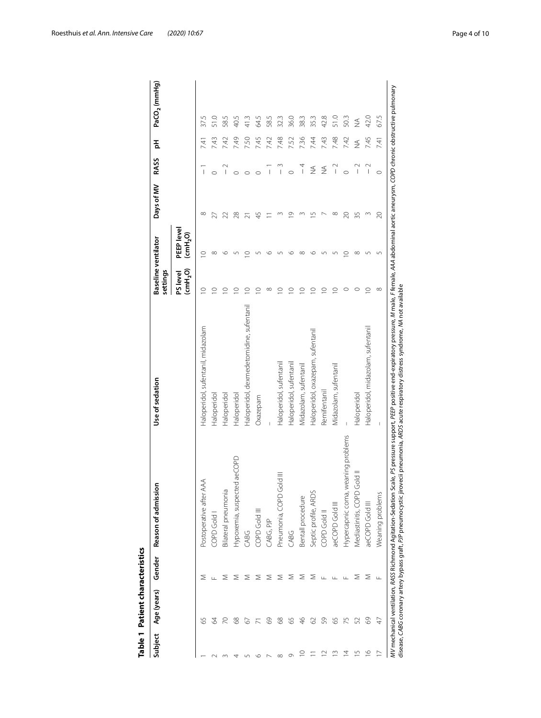<span id="page-3-0"></span>

| l      |
|--------|
| ı      |
| í      |
|        |
|        |
|        |
|        |
|        |
|        |
| ī<br>י |
| ī      |
|        |
| ī      |
|        |
|        |
|        |
| í      |

|                          | Table 1 Patient characteristics |               |                                       |                                                                                                                                                                                                                                                                                                                                                                    |                                 |                                                        |            |                                       |               |                          |
|--------------------------|---------------------------------|---------------|---------------------------------------|--------------------------------------------------------------------------------------------------------------------------------------------------------------------------------------------------------------------------------------------------------------------------------------------------------------------------------------------------------------------|---------------------------------|--------------------------------------------------------|------------|---------------------------------------|---------------|--------------------------|
| Subject                  | Age (years)                     | Gender        | Ξ<br>Reason of admissio               | Use of sedation                                                                                                                                                                                                                                                                                                                                                    | Baseline ventilator<br>settings |                                                        | Days of MV | <b>RASS</b>                           | 푐             | PaCO <sub>2</sub> (mmHg) |
|                          |                                 |               |                                       |                                                                                                                                                                                                                                                                                                                                                                    | (mH <sub>2</sub> O)<br>PS level | PEEP level<br>$\overline{\text{cm}}$ H <sub>2</sub> O) |            |                                       |               |                          |
|                          | 59                              | Σ             | Postoperative after AAA               | Haloperidol, sufentanil, midazolam                                                                                                                                                                                                                                                                                                                                 | $\circ$                         | O                                                      | $\infty$   | $\begin{array}{c} \end{array}$        | Ź.            | Lŋ<br>37                 |
|                          | 34                              | Щ.            | COPD Gold                             | Haloperidol                                                                                                                                                                                                                                                                                                                                                        | $\circ$                         | $\infty$                                               | 27         | $\circ$                               | 7.43          |                          |
|                          | $\overline{C}$                  | Σ             | Bilateral pneumonia                   | Haloperidol                                                                                                                                                                                                                                                                                                                                                        | $\circ$                         | ৩                                                      | 22         | $\begin{array}{c} \end{array}$        | 7.42          | 58.5                     |
|                          | 88                              | ⋝             | ed aeCOPD<br>Hypoxemia, suspect       | Haloperidol                                                                                                                                                                                                                                                                                                                                                        | $\subseteq$                     |                                                        | 28         | $\circ$                               | 749           | 40.5                     |
|                          | 67                              | Σ             | CABG                                  | Haloperidol, dexmedetomidine, sufentanil                                                                                                                                                                                                                                                                                                                           | $\supseteq$                     | $\circ$                                                | ಸ          | $\circ$                               | 7.50          | 41.3                     |
| ١C                       |                                 | ⋝             | COPD Gold III                         | Oxazepam                                                                                                                                                                                                                                                                                                                                                           | O                               |                                                        | 45         | $\circ$                               | 7.45          | 5 kg                     |
|                          | 89                              | ⋝             | CABG, PJP                             |                                                                                                                                                                                                                                                                                                                                                                    | $^\infty$                       | ৩                                                      |            | $\begin{array}{c} \hline \end{array}$ | 7.42          | 58.5                     |
| $\infty$                 | 89                              | Σ             | Pneumonia, COPD Gold III              | Haloperidol, sufentanil                                                                                                                                                                                                                                                                                                                                            | $\circ$                         | ഗ                                                      |            | $\overline{\phantom{a}}$              | 7.48          | 32.3                     |
| Ō                        | 59                              | Σ             | CABG                                  | Haloperidol, sufentanil                                                                                                                                                                                                                                                                                                                                            | $\subseteq$                     | ৩                                                      | $\circ$    | $\circ$                               | 7.52          | 36.0                     |
| $\supseteq$              | $\frac{8}{5}$                   | ⋝             | Bentall procedure                     | Midazolam, sufentanil                                                                                                                                                                                                                                                                                                                                              | $\subseteq$                     | $\infty$                                               |            | $\frac{4}{1}$                         | 7.36          | 38.3                     |
|                          | 62                              | Σ             | Septic profile, ARDS                  | Haloperidol, oxazepam, sufentanil                                                                                                                                                                                                                                                                                                                                  | $\circ$                         | $\circ$                                                | S          | $\frac{4}{2}$                         | 7.44          | 35.3                     |
| $\approx$                | S9                              | Щ             | COPD Gold II                          | Remifentanil                                                                                                                                                                                                                                                                                                                                                       | $\subseteq$                     | ഥ                                                      |            | $\frac{1}{2}$                         | 7.43          | 42.8                     |
| $\frac{3}{2}$            | 65                              | ш.            | aeCOPD Gold III                       | Midazolam, sufentanil                                                                                                                                                                                                                                                                                                                                              | $\supseteq$                     | ഗ                                                      | $\infty$   | $\overline{1}$                        | 7.48          | 51.0                     |
| $\overline{4}$           | 75                              | Щ             | weaning problems<br>Hypercapnic coma, |                                                                                                                                                                                                                                                                                                                                                                    |                                 | 0                                                      | 20         | $\circ$                               | 7.42          | 50.3                     |
| $\overline{1}$           | 52                              | ⋝             | Gold II<br>Mediastinitis, COPD        | Haloperidol                                                                                                                                                                                                                                                                                                                                                        |                                 | $\infty$                                               | 35         | $\begin{array}{c} \hline \end{array}$ | $\frac{1}{2}$ | $\frac{1}{2}$            |
| $\frac{\circ}{\circ}$    | $\odot$                         | Σ             | aeCOPD Gold III                       | Haloperidol, midazolam, sufentanil                                                                                                                                                                                                                                                                                                                                 | $\circ$                         | 5                                                      | Σ          | $\sim$<br>$\overline{\phantom{a}}$    | 7.45          | 42.0                     |
| $\overline{\phantom{0}}$ | A)                              | $\frac{1}{2}$ | Weaning problems                      | I                                                                                                                                                                                                                                                                                                                                                                  | $^{\circ}$                      | 5                                                      | $\approx$  | $\circ$                               | 7.41          | 67.5                     |
|                          |                                 |               |                                       | MV mechanical ventilation, RASS Richmond Agitation-Sedation Scale, PS pressure support, PEEP positive end-expiratory pressure, M male, F female, AAA abdominal aortic aneurysm, COPD chronic obstructive pulmonary<br>disease, CABG coronary artery bypass graft, PJP pneumocystic jirovecii pneumonia, ARDS acute respiratory distress syndrome, MA not available |                                 |                                                        |            |                                       |               |                          |

Roesthuis *et al. Ann. Intensive Care (2020) 10:67* Page 4 of 10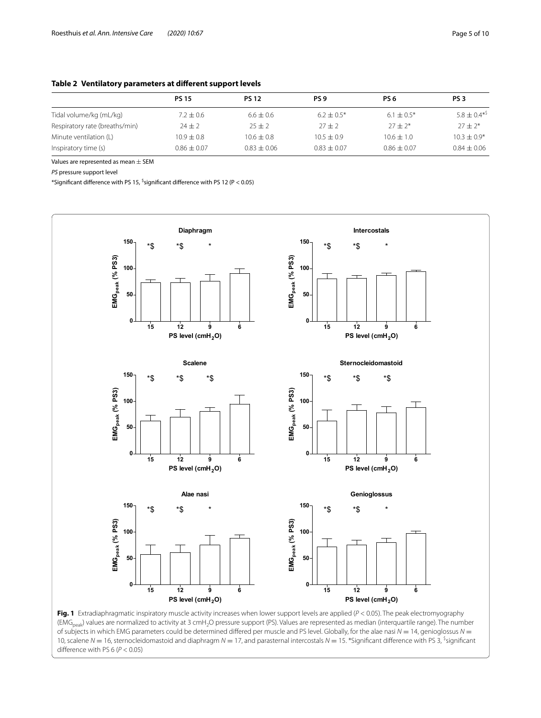# <span id="page-4-0"></span>**Table 2 Ventilatory parameters at diferent support levels**

|                                | <b>PS 15</b>    | <b>PS 12</b>   | PS <sub>9</sub> | PS 6            | PS <sub>3</sub>              |
|--------------------------------|-----------------|----------------|-----------------|-----------------|------------------------------|
| Tidal volume/kg (mL/kg)        | $7.2 \pm 0.6$   | $6.6 \pm 0.6$  | $6.2 \pm 0.5^*$ | $6.1 \pm 0.5^*$ | $5.8 \pm 0.4$ <sup>*\$</sup> |
| Respiratory rate (breaths/min) | $24 + 2$        | $25 + 2$       | $27 + 2$        | $27 + 2*$       | $27 + 2*$                    |
| Minute ventilation (L)         | $10.9 + 0.8$    | $10.6 \pm 0.8$ | $10.5 \pm 0.9$  | $10.6 \pm 1.0$  | $10.3 + 0.9*$                |
| Inspiratory time (s)           | $0.86 \pm 0.07$ | $0.83 + 0.06$  | $0.83 \pm 0.07$ | $0.86 \pm 0.07$ | $0.84 + 0.06$                |

Values are represented as mean  $\pm$  SEM

*PS* pressure support level

 $*$ Significant difference with PS 15,  $\frac{1}{2}$ significant difference with PS 12 (P  $<$  0.05)



<span id="page-4-1"></span>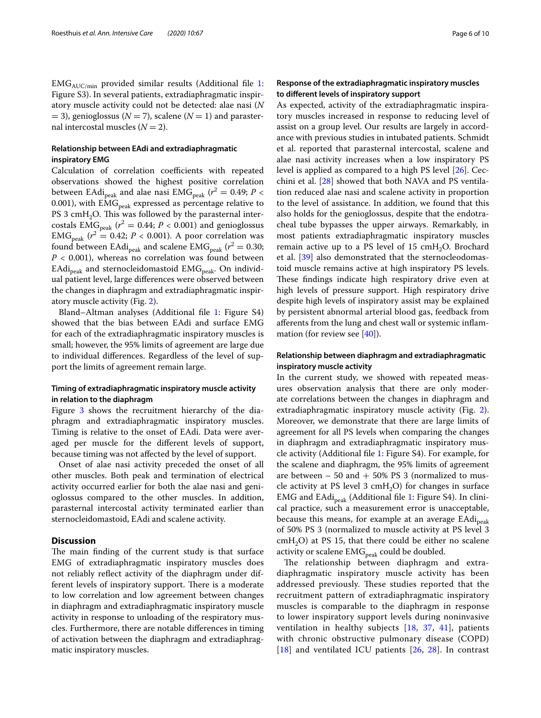$EMG<sub>AUC/min</sub>$  provided similar results (Additional file [1](#page-8-3): Figure S3). In several patients, extradiaphragmatic inspiratory muscle activity could not be detected: alae nasi (*N*  $(3)$ , genioglossus ( $N = 7$ ), scalene ( $N = 1$ ) and parasternal intercostal muscles  $(N = 2)$ .

# **Relationship between EAdi and extradiaphragmatic inspiratory EMG**

Calculation of correlation coefficients with repeated observations showed the highest positive correlation between EAdi<sub>peak</sub> and alae nasi  $\text{EMG}_{\text{peak}}$  ( $r^2 = 0.49; P <$ 0.001), with  $EMG<sub>peak</sub>$  expressed as percentage relative to PS 3 cmH<sub>2</sub>O. This was followed by the parasternal intercostals EMG<sub>peak</sub> ( $r^2 = 0.44$ ;  $P < 0.001$ ) and genioglossus  $EMG_{peak}$  ( $r^2 = 0.42$ ;  $P < 0.001$ ). A poor correlation was found between EAdi<sub>peak</sub> and scalene EMG<sub>peak</sub> ( $r^2 = 0.30;$ *P* < 0.001), whereas no correlation was found between  $EAdi_{peak}$  and sternocleidomastoid  $EMG_{peak}$ . On individual patient level, large diferences were observed between the changes in diaphragm and extradiaphragmatic inspiratory muscle activity (Fig. [2\)](#page-6-0).

Bland–Altman analyses (Additional fle [1:](#page-8-3) Figure S4) showed that the bias between EAdi and surface EMG for each of the extradiaphragmatic inspiratory muscles is small; however, the 95% limits of agreement are large due to individual diferences. Regardless of the level of support the limits of agreement remain large.

# **Timing of extradiaphragmatic inspiratory muscle activity in relation to the diaphragm**

Figure [3](#page-7-0) shows the recruitment hierarchy of the diaphragm and extradiaphragmatic inspiratory muscles. Timing is relative to the onset of EAdi. Data were averaged per muscle for the diferent levels of support, because timing was not afected by the level of support.

Onset of alae nasi activity preceded the onset of all other muscles. Both peak and termination of electrical activity occurred earlier for both the alae nasi and genioglossus compared to the other muscles. In addition, parasternal intercostal activity terminated earlier than sternocleidomastoid, EAdi and scalene activity.

# **Discussion**

The main finding of the current study is that surface EMG of extradiaphragmatic inspiratory muscles does not reliably refect activity of the diaphragm under different levels of inspiratory support. There is a moderate to low correlation and low agreement between changes in diaphragm and extradiaphragmatic inspiratory muscle activity in response to unloading of the respiratory muscles. Furthermore, there are notable diferences in timing of activation between the diaphragm and extradiaphragmatic inspiratory muscles.

# **Response of the extradiaphragmatic inspiratory muscles to diferent levels of inspiratory support**

As expected, activity of the extradiaphragmatic inspiratory muscles increased in response to reducing level of assist on a group level. Our results are largely in accordance with previous studies in intubated patients. Schmidt et al. reported that parasternal intercostal, scalene and alae nasi activity increases when a low inspiratory PS level is applied as compared to a high PS level [\[26](#page-9-15)]. Cecchini et al. [[28](#page-9-17)] showed that both NAVA and PS ventilation reduced alae nasi and scalene activity in proportion to the level of assistance. In addition, we found that this also holds for the genioglossus, despite that the endotracheal tube bypasses the upper airways. Remarkably, in most patients extradiaphragmatic inspiratory muscles remain active up to a PS level of 15  $cmH<sub>2</sub>O$ . Brochard et al. [\[39\]](#page-9-27) also demonstrated that the sternocleodomastoid muscle remains active at high inspiratory PS levels. These findings indicate high respiratory drive even at high levels of pressure support. High respiratory drive despite high levels of inspiratory assist may be explained by persistent abnormal arterial blood gas, feedback from aferents from the lung and chest wall or systemic infammation (for review see  $[40]$  $[40]$ ).

# **Relationship between diaphragm and extradiaphragmatic inspiratory muscle activity**

In the current study, we showed with repeated measures observation analysis that there are only moderate correlations between the changes in diaphragm and extradiaphragmatic inspiratory muscle activity (Fig. [2](#page-6-0)). Moreover, we demonstrate that there are large limits of agreement for all PS levels when comparing the changes in diaphragm and extradiaphragmatic inspiratory muscle activity (Additional fle [1](#page-8-3): Figure S4). For example, for the scalene and diaphragm, the 95% limits of agreement are between  $-50$  and  $+50\%$  PS 3 (normalized to muscle activity at PS level 3 cmH<sub>2</sub>O) for changes in surface EMG and EAdi<sub>peak</sub> (Additional file [1](#page-8-3): Figure S4). In clinical practice, such a measurement error is unacceptable, because this means, for example at an average  $EAdi_{peak}$ of 50% PS 3 (normalized to muscle activity at PS level 3  $cmH<sub>2</sub>O$ ) at PS 15, that there could be either no scalene activity or scalene  $EMG_{peak}$  could be doubled.

The relationship between diaphragm and extradiaphragmatic inspiratory muscle activity has been addressed previously. These studies reported that the recruitment pattern of extradiaphragmatic inspiratory muscles is comparable to the diaphragm in response to lower inspiratory support levels during noninvasive ventilation in healthy subjects [\[18](#page-9-8), [37](#page-9-25), [41\]](#page-9-29), patients with chronic obstructive pulmonary disease (COPD) [[18](#page-9-8)] and ventilated ICU patients [\[26,](#page-9-15) [28](#page-9-17)]. In contrast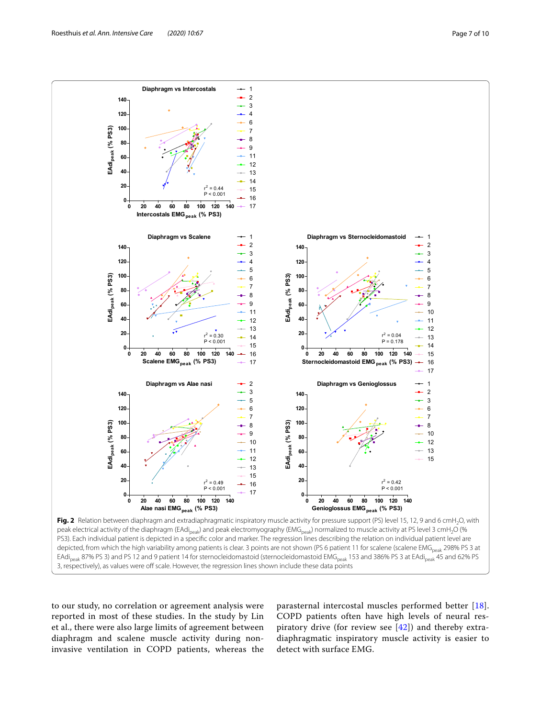

<span id="page-6-0"></span>peak electrical activity of the diaphragm (EAdi<sub>peak</sub>) and peak electromyography (EMG<sub>peak</sub>) normalized to muscle activity at PS level 3 cmH<sub>2</sub>O (% PS3). Each individual patient is depicted in a specifc color and marker. The regression lines describing the relation on individual patient level are depicted, from which the high variability among patients is clear. 3 points are not shown (PS 6 patient 11 for scalene (scalene EMG<sub>peak</sub> 298% PS 3 at EAdi<sub>peak</sub> 87% PS 3) and PS 12 and 9 patient 14 for sternocleidomastoid (sternocleidomastoid EMG<sub>peak</sub> 153 and 386% PS 3 at EAdi<sub>peak</sub> 45 and 62% PS 3, respectively), as values were off scale. However, the regression lines shown include these data points

to our study, no correlation or agreement analysis were reported in most of these studies. In the study by Lin et al., there were also large limits of agreement between diaphragm and scalene muscle activity during noninvasive ventilation in COPD patients, whereas the

parasternal intercostal muscles performed better [[18](#page-9-8)]. COPD patients often have high levels of neural respiratory drive (for review see [[42\]](#page-9-30)) and thereby extradiaphragmatic inspiratory muscle activity is easier to detect with surface EMG.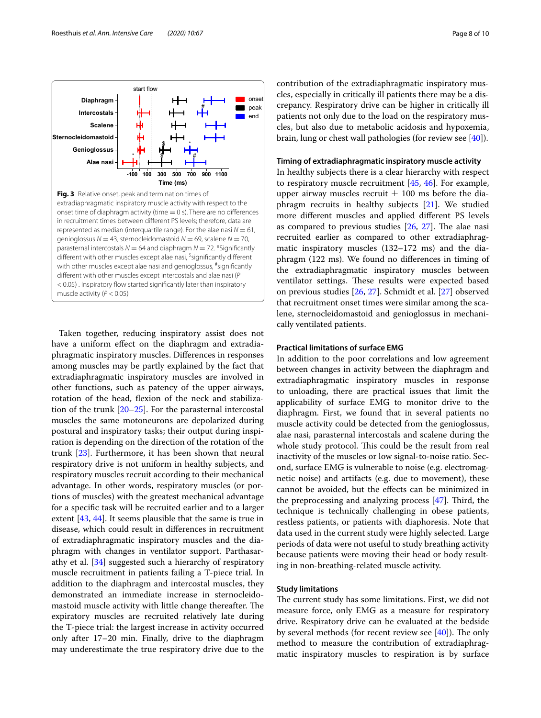<span id="page-7-0"></span>

Taken together, reducing inspiratory assist does not have a uniform effect on the diaphragm and extradiaphragmatic inspiratory muscles. Diferences in responses among muscles may be partly explained by the fact that extradiaphragmatic inspiratory muscles are involved in other functions, such as patency of the upper airways, rotation of the head, flexion of the neck and stabilization of the trunk [\[20–](#page-9-10)[25\]](#page-9-14). For the parasternal intercostal muscles the same motoneurons are depolarized during postural and inspiratory tasks; their output during inspiration is depending on the direction of the rotation of the trunk [\[23](#page-9-12)]. Furthermore, it has been shown that neural respiratory drive is not uniform in healthy subjects, and respiratory muscles recruit according to their mechanical advantage. In other words, respiratory muscles (or portions of muscles) with the greatest mechanical advantage for a specifc task will be recruited earlier and to a larger extent [[43,](#page-9-31) [44](#page-9-32)]. It seems plausible that the same is true in disease, which could result in diferences in recruitment of extradiaphragmatic inspiratory muscles and the diaphragm with changes in ventilator support. Parthasarathy et al. [[34\]](#page-9-22) suggested such a hierarchy of respiratory muscle recruitment in patients failing a T-piece trial. In addition to the diaphragm and intercostal muscles, they demonstrated an immediate increase in sternocleidomastoid muscle activity with little change thereafter. The expiratory muscles are recruited relatively late during the T-piece trial: the largest increase in activity occurred only after 17–20 min. Finally, drive to the diaphragm may underestimate the true respiratory drive due to the contribution of the extradiaphragmatic inspiratory muscles, especially in critically ill patients there may be a discrepancy. Respiratory drive can be higher in critically ill patients not only due to the load on the respiratory muscles, but also due to metabolic acidosis and hypoxemia, brain, lung or chest wall pathologies (for review see [\[40](#page-9-28)]).

#### **Timing of extradiaphragmatic inspiratory muscle activity**

In healthy subjects there is a clear hierarchy with respect to respiratory muscle recruitment [[45,](#page-9-33) [46\]](#page-9-34). For example, upper airway muscles recruit  $\pm$  100 ms before the diaphragm recruits in healthy subjects [[21\]](#page-9-35). We studied more diferent muscles and applied diferent PS levels as compared to previous studies  $[26, 27]$  $[26, 27]$  $[26, 27]$ . The alae nasi recruited earlier as compared to other extradiaphragmatic inspiratory muscles (132–172 ms) and the diaphragm (122 ms). We found no diferences in timing of the extradiaphragmatic inspiratory muscles between ventilator settings. These results were expected based on previous studies [\[26](#page-9-15), [27\]](#page-9-16). Schmidt et al. [[27\]](#page-9-16) observed that recruitment onset times were similar among the scalene, sternocleidomastoid and genioglossus in mechanically ventilated patients.

# **Practical limitations of surface EMG**

In addition to the poor correlations and low agreement between changes in activity between the diaphragm and extradiaphragmatic inspiratory muscles in response to unloading, there are practical issues that limit the applicability of surface EMG to monitor drive to the diaphragm. First, we found that in several patients no muscle activity could be detected from the genioglossus, alae nasi, parasternal intercostals and scalene during the whole study protocol. This could be the result from real inactivity of the muscles or low signal-to-noise ratio. Second, surface EMG is vulnerable to noise (e.g. electromagnetic noise) and artifacts (e.g. due to movement), these cannot be avoided, but the efects can be minimized in the preprocessing and analyzing process  $[47]$ . Third, the technique is technically challenging in obese patients, restless patients, or patients with diaphoresis. Note that data used in the current study were highly selected. Large periods of data were not useful to study breathing activity because patients were moving their head or body resulting in non-breathing-related muscle activity.

# **Study limitations**

The current study has some limitations. First, we did not measure force, only EMG as a measure for respiratory drive. Respiratory drive can be evaluated at the bedside by several methods (for recent review see  $[40]$  $[40]$  $[40]$ ). The only method to measure the contribution of extradiaphragmatic inspiratory muscles to respiration is by surface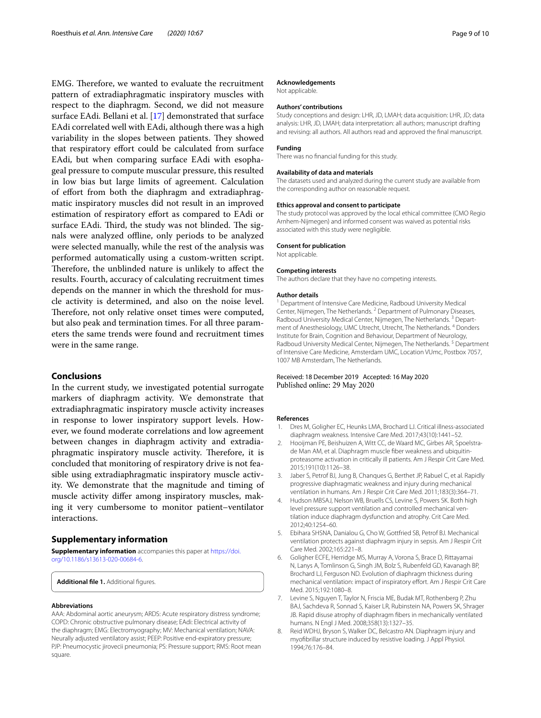EMG. Therefore, we wanted to evaluate the recruitment pattern of extradiaphragmatic inspiratory muscles with respect to the diaphragm. Second, we did not measure surface EAdi. Bellani et al. [\[17](#page-9-7)] demonstrated that surface EAdi correlated well with EAdi, although there was a high variability in the slopes between patients. They showed that respiratory effort could be calculated from surface EAdi, but when comparing surface EAdi with esophageal pressure to compute muscular pressure, this resulted in low bias but large limits of agreement. Calculation of effort from both the diaphragm and extradiaphragmatic inspiratory muscles did not result in an improved estimation of respiratory effort as compared to EAdi or surface EAdi. Third, the study was not blinded. The signals were analyzed offline, only periods to be analyzed were selected manually, while the rest of the analysis was performed automatically using a custom-written script. Therefore, the unblinded nature is unlikely to affect the results. Fourth, accuracy of calculating recruitment times depends on the manner in which the threshold for muscle activity is determined, and also on the noise level. Therefore, not only relative onset times were computed, but also peak and termination times. For all three parameters the same trends were found and recruitment times were in the same range.

# **Conclusions**

In the current study, we investigated potential surrogate markers of diaphragm activity. We demonstrate that extradiaphragmatic inspiratory muscle activity increases in response to lower inspiratory support levels. However, we found moderate correlations and low agreement between changes in diaphragm activity and extradiaphragmatic inspiratory muscle activity. Therefore, it is concluded that monitoring of respiratory drive is not feasible using extradiaphragmatic inspiratory muscle activity. We demonstrate that the magnitude and timing of muscle activity difer among inspiratory muscles, making it very cumbersome to monitor patient–ventilator interactions.

## **Supplementary information**

**Supplementary information** accompanies this paper at [https://doi.](https://doi.org/10.1186/s13613-020-00684-6) [org/10.1186/s13613-020-00684-6](https://doi.org/10.1186/s13613-020-00684-6).

<span id="page-8-3"></span>Additional file 1. Additional figures.

#### **Abbreviations**

AAA: Abdominal aortic aneurysm; ARDS: Acute respiratory distress syndrome; COPD: Chronic obstructive pulmonary disease; EAdi: Electrical activity of the diaphragm; EMG: Electromyography; MV: Mechanical ventilation; NAVA: Neurally adjusted ventilatory assist; PEEP: Positive end-expiratory pressure; PJP: Pneumocystic jirovecii pneumonia; PS: Pressure support; RMS: Root mean square.

#### **Acknowledgements**

Not applicable.

#### **Authors' contributions**

Study conceptions and design: LHR, JD, LMAH; data acquisition: LHR, JD; data analysis: LHR, JD, LMAH; data interpretation: all authors; manuscript drafting and revising: all authors. All authors read and approved the fnal manuscript.

#### **Funding**

There was no fnancial funding for this study.

#### **Availability of data and materials**

The datasets used and analyzed during the current study are available from the corresponding author on reasonable request.

#### **Ethics approval and consent to participate**

The study protocol was approved by the local ethical committee (CMO Regio Arnhem-Nijmegen) and informed consent was waived as potential risks associated with this study were negligible.

#### **Consent for publication**

Not applicable.

#### **Competing interests**

The authors declare that they have no competing interests.

#### **Author details**

<sup>1</sup> Department of Intensive Care Medicine, Radboud University Medical Center, Nijmegen, The Netherlands. <sup>2</sup> Department of Pulmonary Diseases, Radboud University Medical Center, Nijmegen, The Netherlands.<sup>3</sup> Department of Anesthesiology, UMC Utrecht, Utrecht, The Netherlands. 4 Donders Institute for Brain, Cognition and Behaviour, Department of Neurology, Radboud University Medical Center, Nijmegen, The Netherlands.<sup>5</sup> Department of Intensive Care Medicine, Amsterdam UMC, Location VUmc, Postbox 7057, 1007 MB Amsterdam, The Netherlands.

# Received: 18 December 2019 Accepted: 16 May 2020

#### **References**

- <span id="page-8-0"></span>1. Dres M, Goligher EC, Heunks LMA, Brochard LJ. Critical illness-associated diaphragm weakness. Intensive Care Med. 2017;43(10):1441–52.
- 2. Hooijman PE, Beishuizen A, Witt CC, de Waard MC, Girbes AR, Spoelstrade Man AM, et al. Diaphragm muscle fber weakness and ubiquitinproteasome activation in critically ill patients. Am J Respir Crit Care Med. 2015;191(10):1126–38.
- <span id="page-8-1"></span>3. Jaber S, Petrof BJ, Jung B, Chanques G, Berthet JP, Rabuel C, et al. Rapidly progressive diaphragmatic weakness and injury during mechanical ventilation in humans. Am J Respir Crit Care Med. 2011;183(3):364–71.
- <span id="page-8-2"></span>4. Hudson MBSAJ, Nelson WB, Bruells CS, Levine S, Powers SK. Both high level pressure support ventilation and controlled mechanical ventilation induce diaphragm dysfunction and atrophy. Crit Care Med. 2012;40:1254–60.
- 5. Ebihara SHSNA, Danialou G, Cho W, Gottfried SB, Petrof BJ. Mechanical ventilation protects against diaphragm injury in sepsis. Am J Respir Crit Care Med. 2002;165:221–8.
- 6. Goligher ECFE, Herridge MS, Murray A, Vorona S, Brace D, Rittayamai N, Lanys A, Tomlinson G, Singh JM, Bolz S, Rubenfeld GD, Kavanagh BP, Brochard LJ, Ferguson ND. Evolution of diaphragm thickness during mechanical ventilation: impact of inspiratory effort. Am J Respir Crit Care Med. 2015;192:1080–8.
- 7. Levine S, Nguyen T, Taylor N, Friscia ME, Budak MT, Rothenberg P, Zhu BAJ, Sachdeva R, Sonnad S, Kaiser LR, Rubinstein NA, Powers SK, Shrager JB. Rapid disuse atrophy of diaphragm fbers in mechanically ventilated humans. N Engl J Med. 2008;358(13):1327–35.
- 8. Reid WDHJ, Bryson S, Walker DC, Belcastro AN. Diaphragm injury and myofbrillar structure induced by resistive loading. J Appl Physiol. 1994;76:176–84.